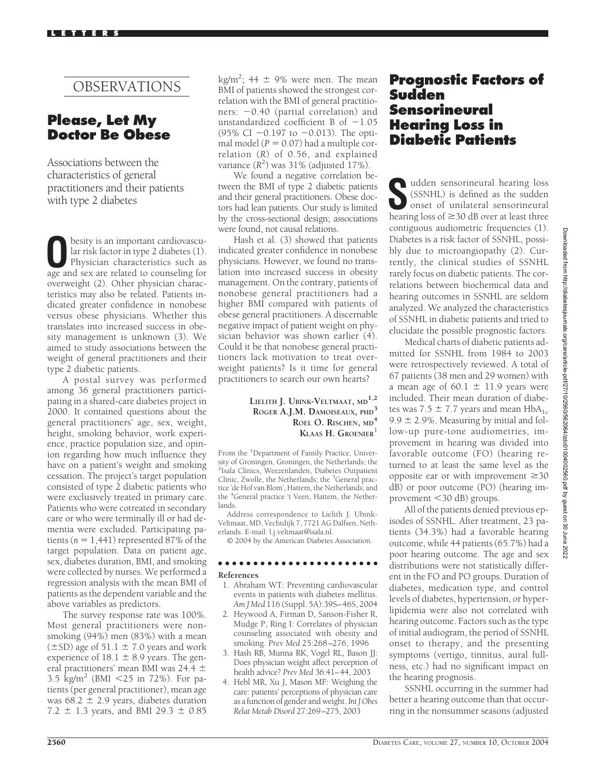# OBSERVATIONS

# **Please, Let My Doctor Be Obese**

Associations between the characteristics of general practitioners and their patients with type 2 diabetes

**O**besity is an important cardiovascular risk factor in type 2 diabetes (1).<br>Physician characteristics such as age and sex are related to counseling for lar risk factor in type 2 diabetes (1). Physician characteristics such as age and sex are related to counseling for overweight (2). Other physician characteristics may also be related. Patients indicated greater confidence in nonobese versus obese physicians. Whether this translates into increased success in obesity management is unknown (3). We aimed to study associations between the weight of general practitioners and their type 2 diabetic patients.

A postal survey was performed among 36 general practitioners participating in a shared-care diabetes project in 2000. It contained questions about the general practitioners' age, sex, weight, height, smoking behavior, work experience, practice population size, and opinion regarding how much influence they have on a patient's weight and smoking cessation. The project's target population consisted of type 2 diabetic patients who were exclusively treated in primary care. Patients who were cotreated in secondary care or who were terminally ill or had dementia were excluded. Participating patients ( $n = 1,441$ ) represented 87% of the target population. Data on patient age, sex, diabetes duration, BMI, and smoking were collected by nurses. We performed a regression analysis with the mean BMI of patients as the dependent variable and the above variables as predictors.

The survey response rate was 100%. Most general practitioners were nonsmoking (94%) men (83%) with a mean  $(\pm SD)$  age of 51.1  $\pm$  7.0 years and work experience of  $18.1 \pm 8.9$  years. The general practitioners' mean BMI was  $24.4 \pm$ 3.5 kg/m<sup>2</sup> (BMI  $\lt 25$  in 72%). For patients (per general practitioner), mean age was  $68.2 \pm 2.9$  years, diabetes duration 7.2  $\pm$  1.3 years, and BMI 29.3  $\pm$  0.85

kg/m<sup>2</sup>; 44  $\pm$  9% were men. The mean BMI of patients showed the strongest correlation with the BMI of general practitioners:  $-0.40$  (partial correlation) and unstandardized coefficient B of  $-1.05$ (95% CI  $-0.197$  to  $-0.013$ ). The optimal model ( $P = 0.07$ ) had a multiple correlation (*R*) of 0.56, and explained variance (R<sup>2</sup>) was 31% (adjusted 17%).

We found a negative correlation between the BMI of type 2 diabetic patients and their general practitioners. Obese doctors had lean patients. Our study is limited by the cross-sectional design; associations were found, not causal relations.

Hash et al. (3) showed that patients indicated greater confidence in nonobese physicians. However, we found no translation into increased success in obesity management. On the contrary, patients of nonobese general practitioners had a higher BMI compared with patients of obese general practitioners. A discernable negative impact of patient weight on physician behavior was shown earlier (4). Could it be that nonobese general practitioners lack motivation to treat overweight patients? Is it time for general practitioners to search our own hearts?

#### **LIELITH J. UBINK-VELTMAAT, MD1,2 ROGER A.J.M. DAMOISEAUX, PHD<sup>3</sup> ROEL O. RISCHEN, MD<sup>4</sup> KLAAS H. GROENIER**<sup>1</sup>

From the <sup>1</sup>Department of Family Practice, University of Groningen, Groningen, the Netherlands; the 2 Isala Clinics, Weezenlanden, Diabetes Outpatient Clinic, Zwolle, the Netherlands; the <sup>3</sup>General practice 'de Hof van Blom', Hattem, the Netherlands; and the <sup>4</sup>General practice 't Veen, Hattem, the Netherlands.

Address correspondence to Lielith J. Ubink-Veltmaat, MD, Vechtdijk 7, 7721 AG Dalfsen, Netherlands. E-mail: l.j.veltmaat@isala.nl.

© 2004 by the American Diabetes Association.

### ●●●●●●●●●●●●●●●●●●●●●●●

#### **References**

- 1. Abraham WT: Preventing cardiovascular events in patients with diabetes mellitus. *Am J Med* 116 (Suppl. 5A):39S–46S, 2004
- 2. Heywood A, Firman D, Sanson-Fisher R, Mudge P, Ring I: Correlates of physician counseling associated with obesity and smoking. *Prev Med* 25:268–276, 1996
- 3. Hash RB, Munna RK, Vogel RL, Bason JJ: Does physician weight affect perception of health advice? *Prev Med* 36:41–44, 2003
- 4. Hebl MR, Xu J, Mason MF: Weighing the care: patients' perceptions of physician care as a function of gender and weight.*Int J Obes Relat Metab Disord* 27:269–275, 2003

# **Prognostic Factors of Sudden Sensorineural Hearing Loss in Diabetic Patients**

**S**udden sensorineural hearing loss (SSNHL) is defined as the sudden onset of unilateral sensorineural hearing loss of  $\geq$  30 dB over at least three contiguous audiometric frequencies (1). Diabetes is a risk factor of SSNHL, possibly due to microangiopathy (2). Currently, the clinical studies of SSNHL rarely focus on diabetic patients. The correlations between biochemical data and hearing outcomes in SSNHL are seldom analyzed. We analyzed the characteristics of SSNHL in diabetic patients and tried to elucidate the possible prognostic factors.

Medical charts of diabetic patients admitted for SSNHL from 1984 to 2003 were retrospectively reviewed. A total of 67 patients (38 men and 29 women) with a mean age of  $60.1 \pm 11.9$  years were included. Their mean duration of diabetes was 7.5  $\pm$  7.7 years and mean  $HbA_{1c}$  $9.9 \pm 2.9\%$ . Measuring by initial and follow-up pure-tone audiometries, improvement in hearing was divided into favorable outcome (FO) (hearing returned to at least the same level as the opposite ear or with improvement  $\geq 30$ dB) or poor outcome (PO) (hearing improvement 30 dB) groups.

All of the patients denied previous episodes of SSNHL. After treatment, 23 patients (34.3%) had a favorable hearing outcome, while 44 patients (65.7%) had a poor hearing outcome. The age and sex distributions were not statistically different in the FO and PO groups. Duration of diabetes, medication type, and control levels of diabetes, hypertension, or hyperlipidemia were also not correlated with hearing outcome. Factors such as the type of initial audiogram, the period of SSNHL onset to therapy, and the presenting symptoms (vertigo, tinnitus, aural fullness, etc.) had no significant impact on the hearing prognosis.

SSNHL occurring in the summer had better a hearing outcome than that occurring in the nonsummer seasons (adjusted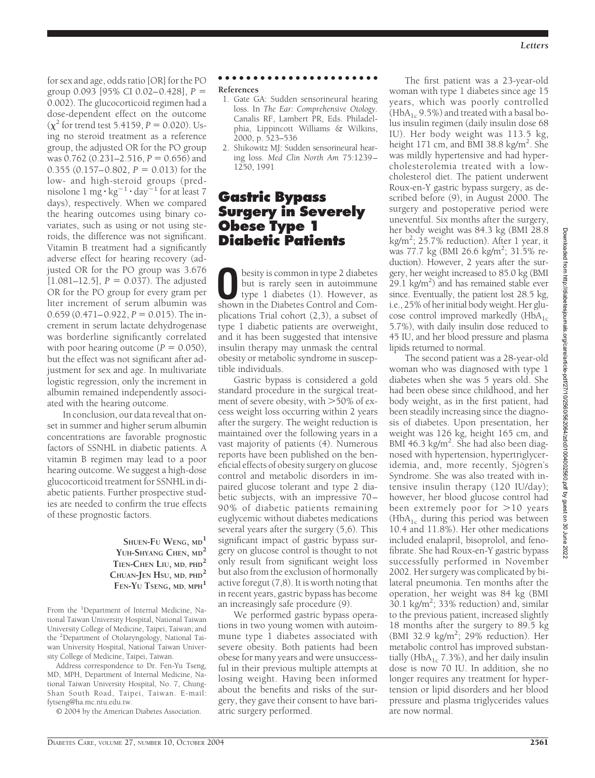for sex and age, odds ratio [OR] for the PO group 0.093 [95% CI 0.02–0.428], *P* 0.002). The glucocorticoid regimen had a dose-dependent effect on the outcome  $(\chi^2$  for trend test 5.4159,  $P = 0.020$ ). Using no steroid treatment as a reference group, the adjusted OR for the PO group was  $0.762$  (0.231–2.516,  $P = 0.656$ ) and 0.355 (0.157 $-0.802$ ,  $P = 0.013$ ) for the low- and high-steroid groups (prednisolone  $1 \text{ mg} \cdot \text{kg}^{-1} \cdot \text{day}^{-1}$  for at least 7 days), respectively. When we compared the hearing outcomes using binary covariates, such as using or not using steroids, the difference was not significant. Vitamin B treatment had a significantly adverse effect for hearing recovery (adjusted OR for the PO group was 3.676  $[1.081–12.5]$ ,  $P = 0.037$ ). The adjusted OR for the PO group for every gram per liter increment of serum albumin was  $0.659$  ( $0.471 - 0.922$ ,  $P = 0.015$ ). The increment in serum lactate dehydrogenase was borderline significantly correlated with poor hearing outcome  $(P = 0.050)$ , but the effect was not significant after adjustment for sex and age. In multivariate logistic regression, only the increment in albumin remained independently associated with the hearing outcome.

In conclusion, our data reveal that onset in summer and higher serum albumin concentrations are favorable prognostic factors of SSNHL in diabetic patients. A vitamin B regimen may lead to a poor hearing outcome. We suggest a high-dose glucocorticoid treatment for SSNHL in diabetic patients. Further prospective studies are needed to confirm the true effects of these prognostic factors.

### **SHUEN-FU WENG, MD<sup>1</sup> YUH-SHYANG CHEN, MD<sup>2</sup> TIEN-CHEN LIU, MD, PHD<sup>2</sup> CHUAN-JEN HSU, MD, PHD<sup>2</sup> FEN-YU TSENG, MD, MPH<sup>1</sup>**

From the <sup>1</sup>Department of Internal Medicine, National Taiwan University Hospital, National Taiwan University College of Medicine, Taipei, Taiwan; and the <sup>2</sup> Department of Otolaryngology, National Taiwan University Hospital, National Taiwan University College of Medicine, Taipei, Taiwan.

Address correspondence to Dr. Fen-Yu Tseng, MD, MPH, Department of Internal Medicine, National Taiwan University Hospital, No. 7, Chung-Shan South Road, Taipei, Taiwan. E-mail: fytseng@ha.mc.ntu.edu.tw.

© 2004 by the American Diabetes Association.

#### ●●●●●●●●●●●●●●●●●●●●●●●

#### **References**

- 1. Gate GA: Sudden sensorineural hearing loss. In *The Ear: Comprehensive Otology.* Canalis RF, Lambert PR, Eds. Philadelphia, Lippincott Williams & Wilkins, 2000, p. 523–536
- 2. Shikowitz MJ: Sudden sensorineural hearing loss. *Med Clin North Am* 75:1239– 1250, 1991

### **Gastric Bypass Surgery in Severely Obese Type 1 Diabetic Patients**

**O**besity is common in type 2 diabetes<br>type 1 diabetes (1). However, as<br>shown in the Diabetes Control and Combut is rarely seen in autoimmune shown in the Diabetes Control and Complications Trial cohort (2,3), a subset of type 1 diabetic patients are overweight, and it has been suggested that intensive insulin therapy may unmask the central obesity or metabolic syndrome in susceptible individuals.

Gastric bypass is considered a gold standard procedure in the surgical treatment of severe obesity, with  $>50\%$  of excess weight loss occurring within 2 years after the surgery. The weight reduction is maintained over the following years in a vast majority of patients (4). Numerous reports have been published on the beneficial effects of obesity surgery on glucose control and metabolic disorders in impaired glucose tolerant and type 2 diabetic subjects, with an impressive 70– 90% of diabetic patients remaining euglycemic without diabetes medications several years after the surgery (5,6). This significant impact of gastric bypass surgery on glucose control is thought to not only result from significant weight loss but also from the exclusion of hormonally active foregut (7,8). It is worth noting that in recent years, gastric bypass has become an increasingly safe procedure (9).

We performed gastric bypass operations in two young women with autoimmune type 1 diabetes associated with severe obesity. Both patients had been obese for many years and were unsuccessful in their previous multiple attempts at losing weight. Having been informed about the benefits and risks of the surgery, they gave their consent to have bariatric surgery performed.

The first patient was a 23-year-old woman with type 1 diabetes since age 15 years, which was poorly controlled  $(HbA<sub>1c</sub>, 9.5%)$  and treated with a basal bolus insulin regimen (daily insulin dose 68 IU). Her body weight was 113.5 kg, height 171 cm, and BMI 38.8 kg/m<sup>2</sup>. She was mildly hypertensive and had hypercholesterolemia treated with a lowcholesterol diet. The patient underwent Roux-en-Y gastric bypass surgery, as described before (9), in August 2000. The surgery and postoperative period were uneventful. Six months after the surgery, her body weight was 84.3 kg (BMI 28.8 kg/m2 ; 25.7% reduction). After 1 year, it was 77.7 kg (BMI 26.6 kg/m<sup>2</sup>; 31.5% reduction). However, 2 years after the surgery, her weight increased to 85.0 kg (BMI  $29.1 \text{ kg/m}^2$ ) and has remained stable ever since. Eventually, the patient lost 28.5 kg, i.e., 25% of her initial body weight. Her glucose control improved markedly  $(HbA_{1c})$ 5.7%), with daily insulin dose reduced to 45 IU, and her blood pressure and plasma lipids returned to normal.

The second patient was a 28-year-old woman who was diagnosed with type 1 diabetes when she was 5 years old. She had been obese since childhood, and her body weight, as in the first patient, had been steadily increasing since the diagnosis of diabetes. Upon presentation, her weight was 126 kg, height 165 cm, and BMI 46.3 kg/m<sup>2</sup>. She had also been diagnosed with hypertension, hypertriglyceridemia, and, more recently, Sjögren's Syndrome. She was also treated with intensive insulin therapy (120 IU/day); however, her blood glucose control had been extremely poor for  $>10$  years  $(HbA<sub>1c</sub>$  during this period was between 10.4 and 11.8%). Her other medications included enalapril, bisoprolol, and fenofibrate. She had Roux-en-Y gastric bypass successfully performed in November 2002. Her surgery was complicated by bilateral pneumonia. Ten months after the operation, her weight was 84 kg (BMI 30.1 kg/m<sup>2</sup>; 33% reduction) and, similar to the previous patient, increased slightly 18 months after the surgery to 89.5 kg (BMI 32.9 kg/m<sup>2</sup>; 29% reduction). Her metabolic control has improved substantially (Hb $A_{1c}$  7.3%), and her daily insulin dose is now 70 IU. In addition, she no longer requires any treatment for hypertension or lipid disorders and her blood pressure and plasma triglycerides values are now normal.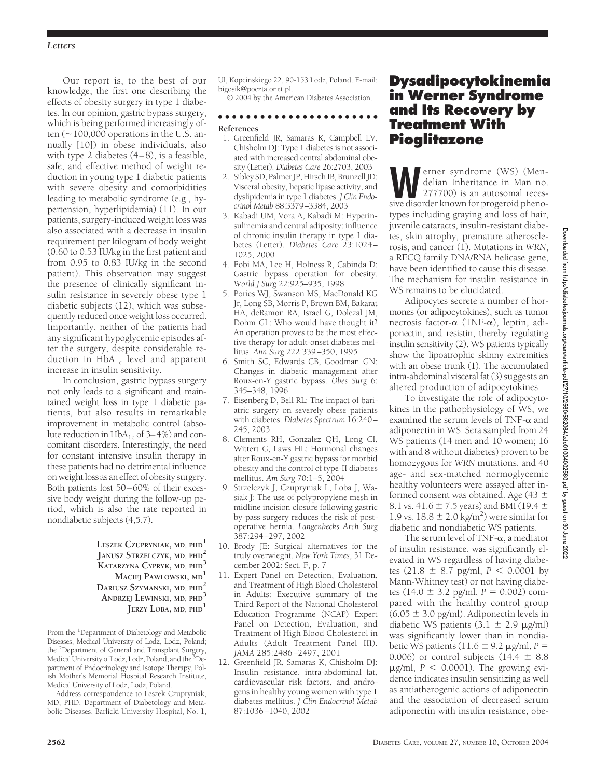Our report is, to the best of our knowledge, the first one describing the effects of obesity surgery in type 1 diabetes. In our opinion, gastric bypass surgery, which is being performed increasingly often  $(\sim$  100,000 operations in the U.S. annually [10]) in obese individuals, also with type 2 diabetes  $(4-8)$ , is a feasible, safe, and effective method of weight reduction in young type 1 diabetic patients with severe obesity and comorbidities leading to metabolic syndrome (e.g., hypertension, hyperlipidemia) (11). In our patients, surgery-induced weight loss was also associated with a decrease in insulin requirement per kilogram of body weight (0.60 to 0.53 IU/kg in the first patient and from 0.95 to 0.83 IU/kg in the second patient). This observation may suggest the presence of clinically significant insulin resistance in severely obese type 1 diabetic subjects (12), which was subsequently reduced once weight loss occurred. Importantly, neither of the patients had any significant hypoglycemic episodes after the surgery, despite considerable reduction in  $HbA_{1c}$  level and apparent increase in insulin sensitivity.

In conclusion, gastric bypass surgery not only leads to a significant and maintained weight loss in type 1 diabetic patients, but also results in remarkable improvement in metabolic control (absolute reduction in  $HbA_{1c}$  of 3–4%) and concomitant disorders. Interestingly, the need for constant intensive insulin therapy in these patients had no detrimental influence on weight loss as an effect of obesity surgery. Both patients lost 50–60% of their excessive body weight during the follow-up period, which is also the rate reported in nondiabetic subjects (4,5,7).

> **LESZEK CZUPRYNIAK, MD, PHD<sup>1</sup> JANUSZ STRZELCZYK, MD, PHD<sup>2</sup> KATARZYNA CYPRYK, MD, PHD<sup>3</sup> MACIEJ PAWLOWSKI, MD<sup>1</sup> DARIUSZ SZYMANSKI, MD, PHD<sup>2</sup> ANDRZEJ LEWINSKI, MD, PHD<sup>3</sup> JERZY LOBA, MD, PHD<sup>1</sup>**

From the <sup>1</sup>Department of Diabetology and Metabolic Diseases, Medical University of Lodz, Lodz, Poland; the <sup>2</sup> Department of General and Transplant Surgery, Medical University of Lodz, Lodz, Poland; and the <sup>3</sup>Department of Endocrinology and Isotope Therapy, Polish Mother's Memorial Hospital Research Institute, Medical University of Lodz, Lodz, Poland.

Address correspondence to Leszek Czupryniak, MD, PHD, Department of Diabetology and Metabolic Diseases, Barlicki University Hospital, No. 1, Ul, Kopcinskiego 22, 90-153 Lodz, Poland. E-mail: bigosik@poczta.onet.pl.

© 2004 by the American Diabetes Association.

#### ●●●●●●●●●●●●●●●●●●●●●●● **References**

- 1. Greenfield JR, Samaras K, Campbell LV, Chisholm DJ: Type 1 diabetes is not associated with increased central abdominal obesity (Letter). *Diabetes Care* 26:2703, 2003
- 2. Sibley SD, Palmer JP, Hirsch IB, Brunzell JD: Visceral obesity, hepatic lipase activity, and dyslipidemia in type 1 diabetes. *J Clin Endocrinol Metab* 88:3379–3384, 2003
- 3. Kabadi UM, Vora A, Kabadi M: Hyperinsulinemia and central adiposity: influence of chronic insulin therapy in type 1 diabetes (Letter). *Diabetes Care* 23:1024– 1025, 2000
- 4. Fobi MA, Lee H, Holness R, Cabinda D: Gastric bypass operation for obesity. *World J Surg* 22:925–935, 1998
- 5. Pories WJ, Swanson MS, MacDonald KG Jr, Long SB, Morris P, Brown BM, Bakarat HA, deRamon RA, Israel G, Dolezal JM, Dohm GL: Who would have thought it? An operation proves to be the most effective therapy for adult-onset diabetes mellitus. *Ann Surg* 222:339–350, 1995
- 6. Smith SC, Edwards CB, Goodman GN: Changes in diabetic management after Roux-en-Y gastric bypass. *Obes Surg* 6: 345–348, 1996
- 7. Eisenberg D, Bell RL: The impact of bariatric surgery on severely obese patients with diabetes. *Diabetes Spectrum* 16:240– 245, 2003
- 8. Clements RH, Gonzalez QH, Long CI, Wittert G, Laws HL: Hormonal changes after Roux-en-Y gastric bypass for morbid obesity and the control of type-II diabetes mellitus. *Am Surg* 70:1–5, 2004
- 9. Strzelczyk J, Czupryniak L, Loba J, Wasiak J: The use of polypropylene mesh in midline incision closure following gastric by-pass surgery reduces the risk of postoperative hernia. *Langenbecks Arch Surg* 387:294–297, 2002
- 10. Brody JE: Surgical alternatives for the truly overwieght. *New York Times*, 31 December 2002: Sect. F, p. 7
- 11. Expert Panel on Detection, Evaluation, and Treatment of High Blood Cholesterol in Adults: Executive summary of the Third Report of the National Cholesterol Education Programme (NCAP) Expert Panel on Detection, Evaluation, and Treatment of High Blood Cholesterol in Adults (Adult Treatment Panel III). *JAMA* 285:2486 –2497, 2001
- 12. Greenfield JR, Samaras K, Chisholm DJ: Insulin resistance, intra-abdominal fat, cardiovascular risk factors, and androgens in healthy young women with type 1 diabetes mellitus. *J Clin Endocrinol Metab* 87:1036–1040, 2002

# **Dysadipocytokinemia in Werner Syndrome and Its Recovery by Treatment With Pioglitazone**

erner syndrome (WS) (Mendelian Inheritance in Man no. 277700) is an autosomal recessive disorder known for progeroid phenotypes including graying and loss of hair, juvenile cataracts, insulin-resistant diabetes, skin atrophy, premature atherosclerosis, and cancer (1). Mutations in *WRN*, a RECQ family DNA/RNA helicase gene, have been identified to cause this disease. The mechanism for insulin resistance in WS remains to be elucidated.

Adipocytes secrete a number of hormones (or adipocytokines), such as tumor necrosis factor- $\alpha$  (TNF- $\alpha$ ), leptin, adiponectin, and resistin, thereby regulating insulin sensitivity (2). WS patients typically show the lipoatrophic skinny extremities with an obese trunk (1). The accumulated intra-abdominal visceral fat (3) suggests an altered production of adipocytokines.

To investigate the role of adipocytokines in the pathophysiology of WS, we examined the serum levels of TNF- $\alpha$  and adiponectin in WS. Sera sampled from 24 WS patients (14 men and 10 women; 16 with and 8 without diabetes) proven to be homozygous for *WRN* mutations, and 40 age- and sex-matched normoglycemic healthy volunteers were assayed after informed consent was obtained. Age (43  $\pm$ 8.1 vs. 41.6  $\pm$  7.5 years) and BMI (19.4  $\pm$ 1.9 vs.  $18.8 \pm 2.0$  kg/m<sup>2</sup>) were similar for diabetic and nondiabetic WS patients.

The serum level of TNF- $\alpha$ , a mediator of insulin resistance, was significantly elevated in WS regardless of having diabetes  $(21.8 \pm 8.7 \text{ pg/ml}, P < 0.0001 \text{ by})$ Mann-Whitney test) or not having diabetes  $(14.0 \pm 3.2 \text{ pg/ml}, P = 0.002) \text{ com}$ pared with the healthy control group  $(6.05 \pm 3.0 \text{ pg/ml})$ . Adiponectin levels in diabetic WS patients  $(3.1 \pm 2.9 \text{ }\mu\text{g/ml})$ was significantly lower than in nondiabetic WS patients  $(11.6 \pm 9.2 \,\mu\text{g/ml}, P =$ 0.006) or control subjects  $(14.4 \pm 8.8)$  $\mu$ g/ml,  $P < 0.0001$ ). The growing evidence indicates insulin sensitizing as well as antiatherogenic actions of adiponectin and the association of decreased serum adiponectin with insulin resistance, obe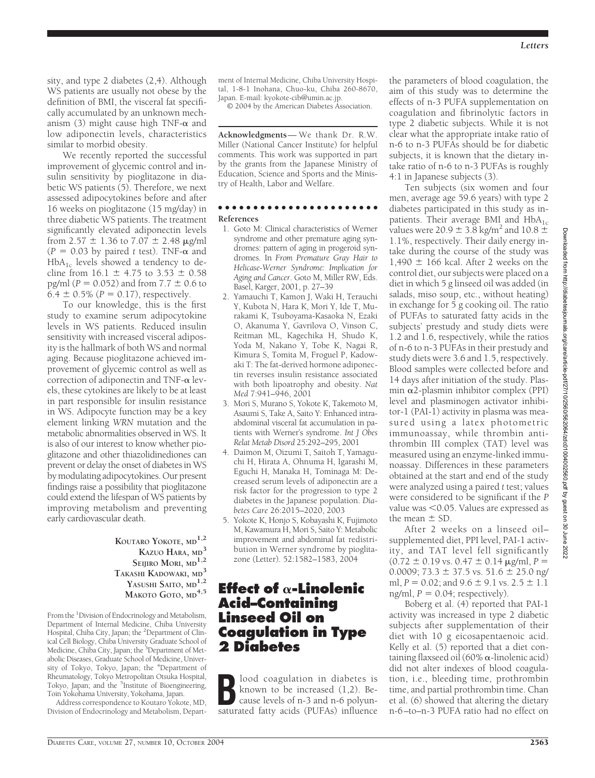sity, and type 2 diabetes (2,4). Although WS patients are usually not obese by the definition of BMI, the visceral fat specifically accumulated by an unknown mechanism (3) might cause high TNF- $\alpha$  and low adiponectin levels, characteristics similar to morbid obesity.

We recently reported the successful improvement of glycemic control and insulin sensitivity by pioglitazone in diabetic WS patients (5). Therefore, we next assessed adipocytokines before and after 16 weeks on pioglitazone (15 mg/day) in three diabetic WS patients. The treatment significantly elevated adiponectin levels from 2.57  $\pm$  1.36 to 7.07  $\pm$  2.48  $\mu$ g/ml  $(P = 0.03$  by paired *t* test). TNF- $\alpha$  and  $HbA_{1c}$  levels showed a tendency to decline from  $16.1 \pm 4.75$  to  $3.53 \pm 0.58$ pg/ml ( $P = 0.052$ ) and from  $7.7 \pm 0.6$  to  $6.4 \pm 0.5\%$  ( $P = 0.17$ ), respectively.

To our knowledge, this is the first study to examine serum adipocytokine levels in WS patients. Reduced insulin sensitivity with increased visceral adiposity is the hallmark of both WS and normal aging. Because pioglitazone achieved improvement of glycemic control as well as correction of adiponectin and TNF- $\alpha$  levels, these cytokines are likely to be at least in part responsible for insulin resistance in WS. Adipocyte function may be a key element linking *WRN* mutation and the metabolic abnormalities observed in WS. It is also of our interest to know whether pioglitazone and other thiazolidinediones can prevent or delay the onset of diabetes in WS by modulating adipocytokines. Our present findings raise a possibility that pioglitazone could extend the lifespan of WS patients by improving metabolism and preventing early cardiovascular death.

> **KOUTARO YOKOTE, MD1,2 KAZUO HARA, MD<sup>3</sup> SEIJIRO MORI, MD1,2 TAKASHI KADOWAKI, MD<sup>3</sup> YASUSHI SAITO, MD1,2 MAKOTO GOTO, MD4,5**

From the <sup>1</sup>Division of Endocrinology and Metabolism, Department of Internal Medicine, Chiba University Hospital, Chiba City, Japan; the <sup>2</sup>Department of Clinical Cell Biology, Chiba University Graduate School of Medicine, Chiba City, Japan; the <sup>3</sup>Department of Metabolic Diseases, Graduate School of Medicine, University of Tokyo, Tokyo, Japan; the <sup>4</sup>Department of Rheumatology, Tokyo Metropolitan Otsuka Hospital, Tokyo, Japan; and the <sup>5</sup>Institute of Bioengineering, Toin Yokohama University, Yokohama, Japan.

Address correspondence to Koutaro Yokote, MD, Division of Endocrinology and Metabolism, Depart-

ment of Internal Medicine, Chiba University Hospital, 1-8-1 Inohana, Chuo-ku, Chiba 260-8670, Japan. E-mail: kyokote-cib@umin.ac.jp.

© 2004 by the American Diabetes Association.

**Acknowledgments**— We thank Dr. R.W. Miller (National Cancer Institute) for helpful comments. This work was supported in part by the grants from the Japanese Ministry of Education, Science and Sports and the Ministry of Health, Labor and Welfare.

#### ●●●●●●●●●●●●●●●●●●●●●●●

#### **References**

- 1. Goto M: Clinical characteristics of Werner syndrome and other premature aging syndromes: pattern of aging in progeroid syndromes. In *From Premature Gray Hair to Helicase-Werner Syndrome: Implication for Aging and Cancer*. Goto M, Miller RW, Eds. Basel, Karger, 2001, p. 27–39
- 2. Yamauchi T, Kamon J, Waki H, Terauchi Y, Kubota N, Hara K, Mori Y, Ide T, Murakami K, Tsuboyama-Kasaoka N, Ezaki O, Akanuma Y, Gavrilova O, Vinson C, Reitman ML, Kagechika H, Shudo K, Yoda M, Nakano Y, Tobe K, Nagai R, Kimura S, Tomita M, Froguel P, Kadowaki T: The fat-derived hormone adiponectin reverses insulin resistance associated with both lipoatrophy and obesity. *Nat Med* 7:941–946, 2001
- 3. Mori S, Murano S, Yokote K, Takemoto M, Asaumi S, Take A, Saito Y: Enhanced intraabdominal visceral fat accumulation in patients with Werner's syndrome. *Int J Obes Relat Metab Disord* 25:292–295, 2001
- 4. Daimon M, Oizumi T, Saitoh T, Yamaguchi H, Hirata A, Ohnuma H, Igarashi M, Eguchi H, Manaka H, Tominaga M: Decreased serum levels of adiponectin are a risk factor for the progression to type 2 diabetes in the Japanese population. *Diabetes Care* 26:2015–2020, 2003
- 5. Yokote K, Honjo S, Kobayashi K, Fujimoto M, Kawamura H, Mori S, Saito Y: Metabolic improvement and abdominal fat redistribution in Werner syndrome by pioglitazone (Letter). 52:1582–1583, 2004

## **Effect of**  $\alpha$ **-Linolenic Acid–Containing Linseed Oil on Coagulation in Type 2 Diabetes**

lood coagulation in diabetes is known to be increased (1,2). Because levels of n*-*3 and n-6 polyunsaturated fatty acids (PUFAs) influence

the parameters of blood coagulation, the aim of this study was to determine the effects of n-3 PUFA supplementation on coagulation and fibrinolytic factors in type 2 diabetic subjects. While it is not clear what the appropriate intake ratio of n-6 to n-3 PUFAs should be for diabetic subjects, it is known that the dietary intake ratio of n-6 to n-3 PUFAs is roughly 4:1 in Japanese subjects (3).

Ten subjects (six women and four men, average age 59.6 years) with type 2 diabetes participated in this study as inpatients. Their average BMI and  $HbA_{1c}$ values were 20.9  $\pm$  3.8 kg/m<sup>2</sup> and 10.8  $\pm$ 1.1%, respectively. Their daily energy intake during the course of the study was  $1,490 \pm 166$  kcal. After 2 weeks on the control diet, our subjects were placed on a diet in which 5 g linseed oil was added (in salads, miso soup, etc., without heating) in exchange for 5 g cooking oil. The ratio of PUFAs to saturated fatty acids in the subjects' prestudy and study diets were 1.2 and 1.6, respectively, while the ratios of n-6 to n-3 PUFAs in their prestudy and study diets were 3.6 and 1.5, respectively. Blood samples were collected before and 14 days after initiation of the study. Plasmin  $\alpha$ 2-plasmin inhibitor complex (PPI) level and plasminogen activator inhibitor-1 (PAI-1) activity in plasma was measured using a latex photometric immunoassay, while thrombin antithrombin III complex (TAT) level was measured using an enzyme-linked immunoassay. Differences in these parameters obtained at the start and end of the study were analyzed using a paired *t* test; values were considered to be significant if the *P* value was  $\leq$  0.05. Values are expressed as the mean  $\pm$  SD.

After 2 weeks on a linseed oil– supplemented diet, PPI level, PAI-1 activity, and TAT level fell significantly  $(0.72 \pm 0.19 \text{ vs. } 0.47 \pm 0.14 \text{ µg/ml}, P =$ 0.0009; 73.3  $\pm$  37.5 vs. 51.6  $\pm$  25.0 ng/ ml,  $P = 0.02$ ; and  $9.6 \pm 9.1$  vs.  $2.5 \pm 1.1$ ng/ml,  $P = 0.04$ ; respectively).

Boberg et al. (4) reported that PAI-1 activity was increased in type 2 diabetic subjects after supplementation of their diet with 10 g eicosapentaenoic acid. Kelly et al. (5) reported that a diet containing flaxseed oil (60%  $\alpha$ -linolenic acid) did not alter indexes of blood coagulation, i.e., bleeding time, prothrombin time, and partial prothrombin time. Chan et al. (6) showed that altering the dietary n-6–to–n-3 PUFA ratio had no effect on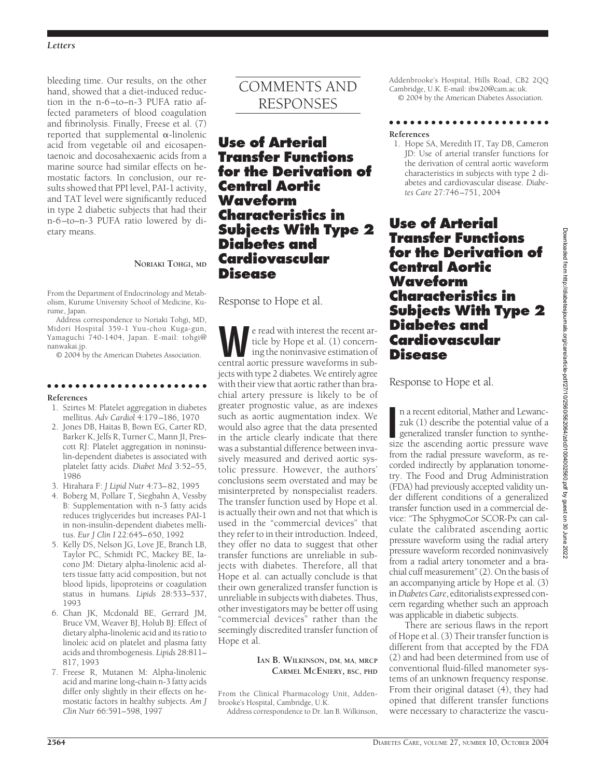### *Letters*

bleeding time. Our results, on the other hand, showed that a diet-induced reduction in the n-6–to–n-3 PUFA ratio affected parameters of blood coagulation and fibrinolysis. Finally, Freese et al. (7) reported that supplemental  $\alpha$ -linolenic acid from vegetable oil and eicosapentaenoic and docosahexaenic acids from a marine source had similar effects on hemostatic factors. In conclusion, our results showed that PPI level, PAI-1 activity, and TAT level were significantly reduced in type 2 diabetic subjects that had their n-6–to–n-3 PUFA ratio lowered by dietary means.

### **NORIAKI TOHGI, MD**

From the Department of Endocrinology and Metabolism, Kurume University School of Medicine, Kurume, Japan.

Address correspondence to Noriaki Tohgi, MD, Midori Hospital 359-1 Yuu-chou Kuga-gun, Yamaguchi 740-1404, Japan. E-mail: tohgi@ nanwakai.jp.

© 2004 by the American Diabetes Association.

●●●●●●●●●●●●●●●●●●●●●●●

#### **References**

- 1. Szirtes M: Platelet aggregation in diabetes mellitus. *Adv Cardiol* 4:179–186, 1970
- 2. Jones DB, Haitas B, Bown EG, Carter RD, Barker K, Jelfs R, Turner C, Mann JI, Prescott RJ: Platelet aggregation in noninsulin-dependent diabetes is associated with platelet fatty acids. *Diabet Med* 3:52–55, 1986
- 3. Hirahara F: *J Lipid Nutr* 4:73–82, 1995
- 4. Boberg M, Pollare T, Siegbahn A, Vessby B: Supplementation with n-3 fatty acids reduces triglycerides but increases PAI-1 in non-insulin-dependent diabetes mellitus. *Eur J Clin I* 22:645–650, 1992
- 5. Kelly DS, Nelson JG, Love JE, Branch LB, Taylor PC, Schmidt PC, Mackey BE, Iacono JM: Dietary alpha-linolenic acid alters tissue fatty acid composition, but not blood lipids, lipoproteins or coagulation status in humans. *Lipids* 28:533–537, 1993
- 6. Chan JK, Mcdonald BE, Gerrard JM, Bruce VM, Weaver BJ, Holub BJ: Effect of dietary alpha-linolenic acid and its ratio to linoleic acid on platelet and plasma fatty acids and thrombogenesis. *Lipids* 28:811– 817, 1993
- 7. Freese R, Mutanen M: Alpha-linolenic acid and marine long-chain n-3 fatty acids differ only slightly in their effects on hemostatic factors in healthy subjects. *Am J Clin Nutr* 66:591–598, 1997

# COMMENTS AND RESPONSES

**Use of Arterial Transfer Functions for the Derivation of Central Aortic Waveform Characteristics in Subjects With Type 2 Diabetes and Cardiovascular Disease**

Response to Hope et al.

e read with interest the recent ar-<br>ticle by Hope et al. (1) concern-<br>ing the noninvasive estimation of<br>central aortic pressure waveforms in subticle by Hope et al. (1) concerning the noninvasive estimation of central aortic pressure waveforms in subjects with type 2 diabetes. We entirely agree with their view that aortic rather than brachial artery pressure is likely to be of greater prognostic value, as are indexes such as aortic augmentation index. We would also agree that the data presented in the article clearly indicate that there was a substantial difference between invasively measured and derived aortic systolic pressure. However, the authors' conclusions seem overstated and may be misinterpreted by nonspecialist readers. The transfer function used by Hope et al. is actually their own and not that which is used in the "commercial devices" that they refer to in their introduction. Indeed, they offer no data to suggest that other transfer functions are unreliable in subjects with diabetes. Therefore, all that Hope et al. can actually conclude is that their own generalized transfer function is unreliable in subjects with diabetes. Thus, other investigators may be better off using "commercial devices" rather than the seemingly discredited transfer function of Hope et al.

#### **IAN B. WILKINSON, DM, MA, MRCP CARMEL MCENIERY, BSC, PHD**

From the Clinical Pharmacology Unit, Addenbrooke's Hospital, Cambridge, U.K.

Address correspondence to Dr. Ian B. Wilkinson,

Addenbrooke's Hospital, Hills Road, CB2 2QQ Cambridge, U.K. E-mail: ibw20@cam.ac.uk. © 2004 by the American Diabetes Association.

### ●●●●●●●●●●●●●●●●●●●●●●●

### **References**

1. Hope SA, Meredith IT, Tay DB, Cameron JD: Use of arterial transfer functions for the derivation of central aortic waveform characteristics in subjects with type 2 diabetes and cardiovascular disease. *Diabetes Care* 27:746–751, 2004

## **Use of Arterial Transfer Functions for the Derivation of Central Aortic Waveform Characteristics in Subjects With Type 2 Diabetes and Cardiovascular Disease**

### Response to Hope et al.

n a recent editorial, Mather and Lewanczuk (1) describe the potential value of a generalized transfer function to synthesize the ascending aortic pressure wave n a recent editorial, Mather and Lewanczuk (1) describe the potential value of a generalized transfer function to synthefrom the radial pressure waveform, as recorded indirectly by applanation tonometry. The Food and Drug Administration (FDA) had previously accepted validity under different conditions of a generalized transfer function used in a commercial device: "The SphygmoCor SCOR-Px can calculate the calibrated ascending aortic pressure waveform using the radial artery pressure waveform recorded noninvasively from a radial artery tonometer and a brachial cuff measurement"(2). On the basis of an accompanying article by Hope et al. (3) in*Diabetes Care*, editorialists expressed concern regarding whether such an approach was applicable in diabetic subjects.

There are serious flaws in the report of Hope et al. (3) Their transfer function is different from that accepted by the FDA (2) and had been determined from use of conventional fluid-filled manometer systems of an unknown frequency response. From their original dataset (4), they had opined that different transfer functions were necessary to characterize the vascu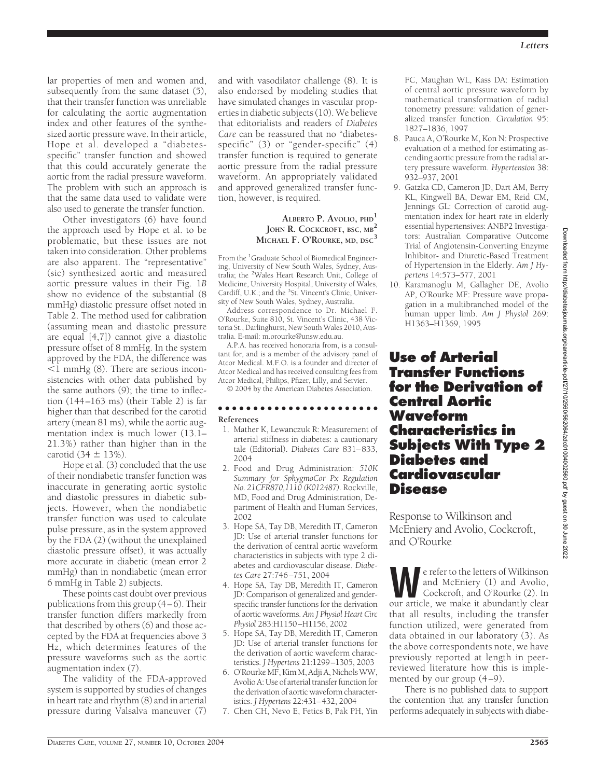lar properties of men and women and, subsequently from the same dataset (5), that their transfer function was unreliable for calculating the aortic augmentation index and other features of the synthesized aortic pressure wave. In their article, Hope et al. developed a "diabetesspecific" transfer function and showed that this could accurately generate the aortic from the radial pressure waveform. The problem with such an approach is that the same data used to validate were also used to generate the transfer function.

Other investigators (6) have found the approach used by Hope et al. to be problematic, but these issues are not taken into consideration. Other problems are also apparent. The "representative" (sic) synthesized aortic and measured aortic pressure values in their Fig. 1*B* show no evidence of the substantial (8 mmHg) diastolic pressure offset noted in Table 2. The method used for calibration (assuming mean and diastolic pressure are equal [4,7]) cannot give a diastolic pressure offset of 8 mmHg. In the system approved by the FDA, the difference was  $1$  mmHg  $(8)$ . There are serious inconsistencies with other data published by the same authors (9); the time to inflection (144–163 ms) (their Table 2) is far higher than that described for the carotid artery (mean 81 ms), while the aortic augmentation index is much lower (13.1– 21.3%) rather than higher than in the carotid  $(34 \pm 13\%)$ .

Hope et al. (3) concluded that the use of their nondiabetic transfer function was inaccurate in generating aortic systolic and diastolic pressures in diabetic subjects. However, when the nondiabetic transfer function was used to calculate pulse pressure, as in the system approved by the FDA (2) (without the unexplained diastolic pressure offset), it was actually more accurate in diabetic (mean error 2 mmHg) than in nondiabetic (mean error 6 mmHg in Table 2) subjects.

These points cast doubt over previous publications from this group (4–6). Their transfer function differs markedly from that described by others (6) and those accepted by the FDA at frequencies above 3 Hz, which determines features of the pressure waveforms such as the aortic augmentation index (7).

The validity of the FDA-approved system is supported by studies of changes in heart rate and rhythm (8) and in arterial pressure during Valsalva maneuver (7)

and with vasodilator challenge (8). It is also endorsed by modeling studies that have simulated changes in vascular properties in diabetic subjects (10). We believe that editorialists and readers of *Diabetes Care* can be reassured that no "diabetesspecific" (3) or "gender-specific" (4) transfer function is required to generate aortic pressure from the radial pressure waveform. An appropriately validated and approved generalized transfer function, however, is required.

### **ALBERTO P. AVOLIO, PHD<sup>1</sup> JOHN R. COCKCROFT**, BSC, MB<sup>2</sup> **MICHAEL F. O'ROURKE, MD, DSC<sup>3</sup>**

From the <sup>1</sup>Graduate School of Biomedical Engineering, University of New South Wales, Sydney, Australia; the <sup>2</sup> Wales Heart Research Unit, College of Medicine, University Hospital, University of Wales, Cardiff, U.K.; and the <sup>3</sup>St. Vincent's Clinic, University of New South Wales, Sydney, Australia.

Address correspondence to Dr. Michael F. O'Rourke, Suite 810, St. Vincent's Clinic, 438 Victoria St., Darlinghurst, New South Wales 2010, Australia. E-mail: m.orourke@unsw.edu.au.

A.P.A. has received honoraria from, is a consultant for, and is a member of the advisory panel of Atcor Medical. M.F.O. is a founder and director of Atcor Medical and has received consulting fees from Atcor Medical, Philips, Pfizer, Lilly, and Servier.

© 2004 by the American Diabetes Association.

### ●●●●●●●●●●●●●●●●●●●●●●●

#### **References**

- 1. Mather K, Lewanczuk R: Measurement of arterial stiffness in diabetes: a cautionary tale (Editorial). *Diabetes Care* 831–833, 2004
- 2. Food and Drug Administration: *510K Summary for SphygmoCor Px Regulation No. 21CFR870,1110 (K012487).* Rockville, MD, Food and Drug Administration, Department of Health and Human Services, 2002
- 3. Hope SA, Tay DB, Meredith IT, Cameron JD: Use of arterial transfer functions for the derivation of central aortic waveform characteristics in subjects with type 2 diabetes and cardiovascular disease. *Diabetes Care* 27:746–751, 2004
- 4. Hope SA, Tay DB, Meredith IT, Cameron JD: Comparison of generalized and genderspecific transfer functions for the derivation of aortic waveforms. *Am J Physiol Heart Circ Physiol* 283:H1150–H1156, 2002
- 5. Hope SA, Tay DB, Meredith IT, Cameron JD: Use of arterial transfer functions for the derivation of aortic waveform characteristics. *J Hypertens* 21:1299–1305, 2003
- 6. O'Rourke MF, Kim M, Adji A, Nichols WW, Avolio A: Use of arterial transfer function for the derivation of aortic waveform characteristics. *J Hypertens* 22:431–432, 2004
- 7. Chen CH, Nevo E, Fetics B, Pak PH, Yin

FC, Maughan WL, Kass DA: Estimation of central aortic pressure waveform by mathematical transformation of radial tonometry pressure: validation of generalized transfer function. *Circulation* 95: 1827–1836, 1997

- 8. Pauca A, O'Rourke M, Kon N: Prospective evaluation of a method for estimating ascending aortic pressure from the radial artery pressure waveform. *Hypertension* 38: 932–937, 2001
- 9. Gatzka CD, Cameron JD, Dart AM, Berry KL, Kingwell BA, Dewar EM, Reid CM, Jennings GL: Correction of carotid augmentation index for heart rate in elderly essential hypertensives: ANBP2 Investigators: Australian Comparative Outcome Trial of Angiotensin-Converting Enzyme Inhibitor- and Diuretic-Based Treatment of Hypertension in the Elderly. *Am J Hypertens* 14:573–577, 2001
- 10. Karamanoglu M, Gallagher DE, Avolio AP, O'Rourke MF: Pressure wave propagation in a multibranched model of the human upper limb. *Am J Physiol* 269: H1363–H1369, 1995

# **Use of Arterial Transfer Functions for the Derivation of Central Aortic Waveform Characteristics in Subjects With Type 2 Diabetes and Cardiovascular Disease**

Response to Wilkinson and McEniery and Avolio, Cockcroft, and O'Rourke

**We refer to the letters of Wilkinson**<br>and McEniery (1) and Avolio,<br>Cockcroft, and O'Rourke (2). In and McEniery (1) and Avolio, Cockcroft, and O'Rourke (2). In our article, we make it abundantly clear that all results, including the transfer function utilized, were generated from data obtained in our laboratory (3). As the above correspondents note, we have previously reported at length in peerreviewed literature how this is implemented by our group  $(4-9)$ .

There is no published data to support the contention that any transfer function performs adequately in subjects with diabe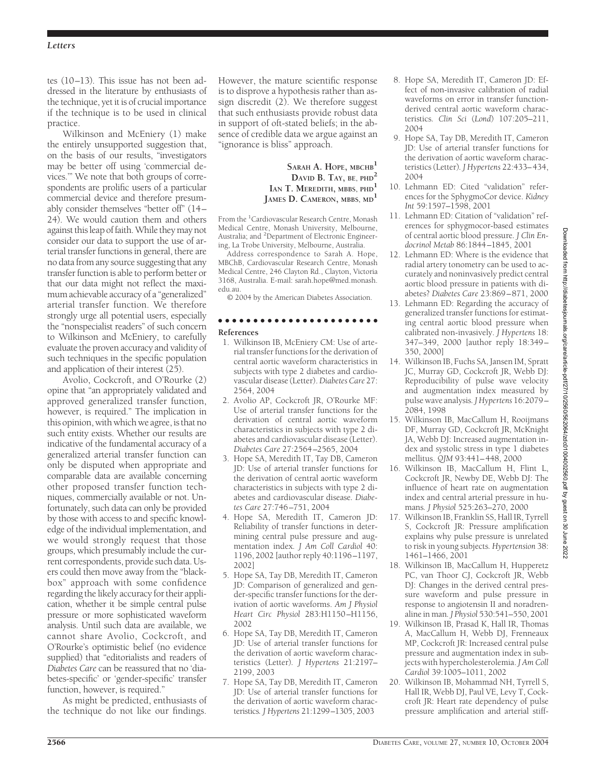tes (10–13). This issue has not been addressed in the literature by enthusiasts of the technique, yet it is of crucial importance if the technique is to be used in clinical practice.

Wilkinson and McEniery (1) make the entirely unsupported suggestion that, on the basis of our results, "investigators may be better off using 'commercial devices.'" We note that both groups of correspondents are prolific users of a particular commercial device and therefore presumably consider themselves "better off" (14– 24). We would caution them and others against this leap of faith. While they may not consider our data to support the use of arterial transfer functions in general, there are no data from any source suggesting that any transfer function is able to perform better or that our data might not reflect the maximum achievable accuracy of a "generalized" arterial transfer function. We therefore strongly urge all potential users, especially the "nonspecialist readers" of such concern to Wilkinson and McEniery, to carefully evaluate the proven accuracy and validity of such techniques in the specific population and application of their interest (25).

Avolio, Cockcroft, and O'Rourke (2) opine that "an appropriately validated and approved generalized transfer function, however, is required." The implication in this opinion, with which we agree, is that no such entity exists. Whether our results are indicative of the fundamental accuracy of a generalized arterial transfer function can only be disputed when appropriate and comparable data are available concerning other proposed transfer function techniques, commercially available or not. Unfortunately, such data can only be provided by those with access to and specific knowledge of the individual implementation, and we would strongly request that those groups, which presumably include the current correspondents, provide such data. Users could then move away from the "blackbox" approach with some confidence regarding the likely accuracy for their application, whether it be simple central pulse pressure or more sophisticated waveform analysis. Until such data are available, we cannot share Avolio, Cockcroft, and O'Rourke's optimistic belief (no evidence supplied) that "editorialists and readers of *Diabetes Care* can be reassured that no 'diabetes-specific' or 'gender-specific' transfer function, however, is required."

As might be predicted, enthusiasts of the technique do not like our findings.

However, the mature scientific response is to disprove a hypothesis rather than assign discredit (2). We therefore suggest that such enthusiasts provide robust data in support of oft-stated beliefs; in the absence of credible data we argue against an "ignorance is bliss" approach.

#### **SARAH A. HOPE, MBCHB<sup>1</sup> DAVID B. TAY, BE, PHD<sup>2</sup> IAN T. MEREDITH, MBBS, PHD<sup>1</sup> JAMES D. CAMERON, MBBS, MD<sup>1</sup>**

From the <sup>1</sup>Cardiovascular Research Centre, Monash Medical Centre, Monash University, Melbourne, Australia; and <sup>2</sup> Department of Electronic Engineering, La Trobe University, Melbourne, Australia.

Address correspondence to Sarah A. Hope, MBChB, Cardiovascular Research Centre, Monash Medical Centre, 246 Clayton Rd., Clayton, Victoria 3168, Australia. E-mail: sarah.hope@med.monash. edu.au.

© 2004 by the American Diabetes Association.

#### ●●●●●●●●●●●●●●●●●●●●●●●

### **References**

- 1. Wilkinson IB, McEniery CM: Use of arterial transfer functions for the derivation of central aortic waveform characteristics in subjects with type 2 diabetes and cardiovascular disease (Letter).*Diabetes Care* 27: 2564, 2004
- 2. Avolio AP, Cockcroft JR, O'Rourke MF: Use of arterial transfer functions for the derivation of central aortic waveform characteristics in subjects with type 2 diabetes and cardiovascular disease (Letter). *Diabetes Care* 27:2564–2565, 2004
- 3. Hope SA, Meredith IT, Tay DB, Cameron JD: Use of arterial transfer functions for the derivation of central aortic waveform characteristics in subjects with type 2 diabetes and cardiovascular disease*. Diabetes Care* 27:746–751, 2004
- 4. Hope SA, Meredith IT, Cameron JD: Reliability of transfer functions in determining central pulse pressure and augmentation index*. J Am Coll Cardiol* 40: 1196, 2002 [author reply 40:1196–1197, 2002]
- 5. Hope SA, Tay DB, Meredith IT, Cameron JD: Comparison of generalized and gender-specific transfer functions for the derivation of aortic waveforms. *Am J Physiol Heart Circ Physiol* 283:H1150–H1156, 2002
- 6. Hope SA, Tay DB, Meredith IT, Cameron JD: Use of arterial transfer functions for the derivation of aortic waveform characteristics (Letter)*. J Hypertens* 21:2197– 2199, 2003
- 7. Hope SA, Tay DB, Meredith IT, Cameron JD: Use of arterial transfer functions for the derivation of aortic waveform characteristics*. J Hypertens* 21:1299–1305, 2003
- 8. Hope SA, Meredith IT, Cameron JD: Effect of non-invasive calibration of radial waveforms on error in transfer functionderived central aortic waveform characteristics*. Clin Sci* (*Lond*) 107:205–211, 2004
- 9. Hope SA, Tay DB, Meredith IT, Cameron JD: Use of arterial transfer functions for the derivation of aortic waveform characteristics (Letter)*. J Hypertens* 22:433–434, 2004
- 10. Lehmann ED: Cited "validation" references for the SphygmoCor device. *Kidney Int* 59:1597–1598, 2001
- 11. Lehmann ED: Citation of "validation" references for sphygmocor-based estimates of central aortic blood pressure*. J Clin Endocrinol Metab* 86:1844–1845, 2001
- 12. Lehmann ED: Where is the evidence that radial artery tonometry can be used to accurately and noninvasively predict central aortic blood pressure in patients with diabetes? *Diabetes Care* 23:869–871, 2000
- 13. Lehmann ED: Regarding the accuracy of generalized transfer functions for estimating central aortic blood pressure when calibrated non-invasively. *J Hypertens* 18: 347–349, 2000 [author reply 18:349– 350, 2000]
- 14. Wilkinson IB, Fuchs SA, Jansen IM, Spratt JC, Murray GD, Cockcroft JR, Webb DJ: Reproducibility of pulse wave velocity and augmentation index measured by pulse wave analysis*. J Hypertens* 16:2079– 2084, 1998
- 15. Wilkinson IB, MacCallum H, Rooijmans DF, Murray GD, Cockcroft JR, McKnight JA, Webb DJ: Increased augmentation index and systolic stress in type 1 diabetes mellitus. *QJM* 93:441–448, 2000
- 16. Wilkinson IB, MacCallum H, Flint L, Cockcroft JR, Newby DE, Webb DJ: The influence of heart rate on augmentation index and central arterial pressure in humans*. J Physiol* 525:263–270, 2000
- 17. Wilkinson IB, Franklin SS, Hall IR, Tyrrell S, Cockcroft JR: Pressure amplification explains why pulse pressure is unrelated to risk in young subjects*. Hypertension* 38: 1461–1466, 2001
- 18. Wilkinson IB, MacCallum H, Hupperetz PC, van Thoor CJ, Cockcroft JR, Webb DJ: Changes in the derived central pressure waveform and pulse pressure in response to angiotensin II and noradrenaline in man*. J Physiol* 530:541–550, 2001
- 19. Wilkinson IB, Prasad K, Hall IR, Thomas A, MacCallum H, Webb DJ, Frenneaux MP, Cockcroft JR: Increased central pulse pressure and augmentation index in subjects with hypercholesterolemia. *J Am Coll Cardiol* 39:1005–1011, 2002
- 20. Wilkinson IB, Mohammad NH, Tyrrell S, Hall IR, Webb DJ, Paul VE, Levy T, Cockcroft JR: Heart rate dependency of pulse pressure amplification and arterial stiff-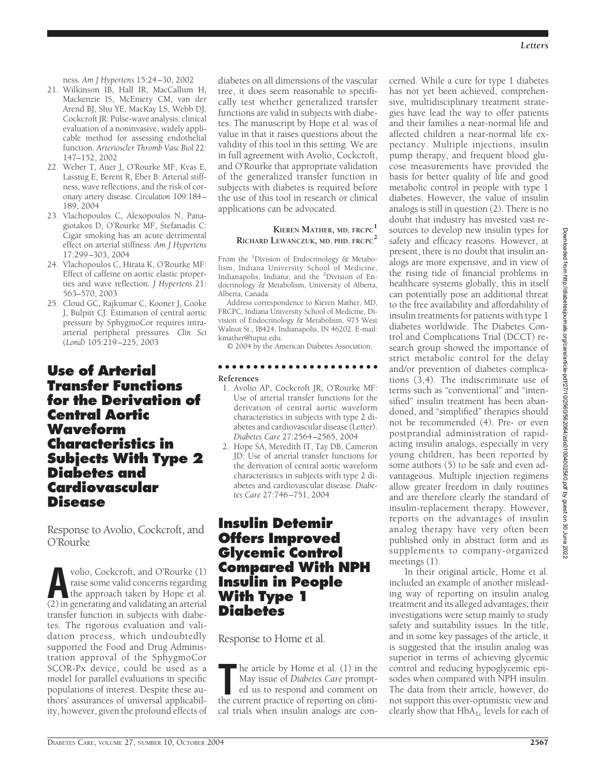ness*. Am J Hypertens* 15:24–30, 2002

- 21. Wilkinson IB, Hall IR, MacCallum H, Mackenzie IS, McEniery CM, van der Arend BJ, Shu YE, MacKay LS, Webb DJ, Cockcroft JR: Pulse-wave analysis: clinical evaluation of a noninvasive, widely applicable method for assessing endothelial function. *Arterioscler Thromb Vasc Biol* 22: 147–152, 2002
- 22. Weber T, Auer J, O'Rourke MF, Kvas E, Lassnig E, Berent R, Eber B: Arterial stiffness, wave reflections, and the risk of coronary artery disease*. Circulation* 109:184– 189, 2004
- 23. Vlachopoulos C, Alexopoulos N, Panagiotakos D, O'Rourke MF, Stefanadis C: Cigar smoking has an acute detrimental effect on arterial stiffness*. Am J Hypertens* 17:299–303, 2004
- 24. Vlachopoulos C, Hirata K, O'Rourke MF: Effect of caffeine on aortic elastic properties and wave reflection*. J Hypertens* 21: 563–570, 2003
- 25. Cloud GC, Rajkumar C, Kooner J, Cooke J, Bulpitt CJ: Estimation of central aortic pressure by SphygmoCor requires intraarterial peripheral pressures*. Clin Sci* (*Lond*) 105:219–225, 2003

## **Use of Arterial Transfer Functions for the Derivation of Central Aortic Waveform Characteristics in Subjects With Type 2 Diabetes and Cardiovascular Disease**

Response to Avolio, Cockcroft, and O'Rourke

volio, Cockcroft, and O'Rourke (1)<br>
the approach taken by Hope et al.<br>
(2) in generating and validating an arterial raise some valid concerns regarding (2) in generating and validating an arterial transfer function in subjects with diabetes. The rigorous evaluation and validation process, which undoubtedly supported the Food and Drug Administration approval of the SphygmoCor SCOR-Px device, could be used as a model for parallel evaluations in specific populations of interest. Despite these authors' assurances of universal applicability, however, given the profound effects of

diabetes on all dimensions of the vascular tree, it does seem reasonable to specifically test whether generalized transfer functions are valid in subjects with diabetes. The manuscript by Hope et al. was of value in that it raises questions about the validity of this tool in this setting. We are in full agreement with Avolio, Cockcroft, and O'Rourke that appropriate validation of the generalized transfer function in subjects with diabetes is required before the use of this tool in research or clinical applications can be advocated.

#### **KIEREN MATHER, MD, FRCPC<sup>1</sup> RICHARD LEWANCZUK, MD, PHD, FRCPC<sup>2</sup>**

From the <sup>1</sup>Division of Endocrinology & Metabolism, Indiana University School of Medicine, Indianapolis, Indiana; and the <sup>2</sup> Division of Endocrinology & Metabolism, University of Alberta, Alberta, Canada.

Address correspondence to Kieren Mather, MD, FRCPC, Indiana University School of Medicine, Division of Endocrinology & Metabolism, 975 West Walnut St., IB424, Indianapolis, IN 46202. E-mail: kmather@iupui.edu.

© 2004 by the American Diabetes Association.

#### ●●●●●●●●●●●●●●●●●●●●●●● **References**

- 1. Avolio AP, Cockcroft JR, O'Rourke MF: Use of arterial transfer functions for the derivation of central aortic waveform characteristics in subjects with type 2 diabetes and cardiovascular disease (Letter). *Diabetes Care* 27:2564–2565, 2004
- 2. Hope SA, Meredith IT, Tay DB, Cameron JD: Use of arterial transfer functions for the derivation of central aortic waveform characteristics in subjects with type 2 diabetes and cardiovascular disease. *Diabetes Care* 27:746–751, 2004

### **Insulin Detemir Offers Improved Glycemic Control Compared With NPH Insulin in People With Type 1 Diabetes**

Response to Home et al.

The article by Home et al. (1) in the May issue of *Diabetes Care* prompted us to respond and comment on the current practice of reporting on clini- $\blacksquare$  he article by Home et al. (1) in the May issue of *Diabetes Care* prompted us to respond and comment on cal trials when insulin analogs are concerned. While a cure for type 1 diabetes has not yet been achieved, comprehensive, multidisciplinary treatment strategies have lead the way to offer patients and their families a near-normal life and affected children a near-normal life expectancy. Multiple injections, insulin pump therapy, and frequent blood glucose measurements have provided the basis for better quality of life and good metabolic control in people with type 1 diabetes. However, the value of insulin analogs is still in question (2). There is no doubt that industry has invested vast resources to develop new insulin types for safety and efficacy reasons. However, at present, there is no doubt that insulin analogs are more expensive, and in view of the rising tide of financial problems in healthcare systems globally, this in itself can potentially pose an additional threat to the free availability and affordability of insulin treatments for patients with type 1 diabetes worldwide. The Diabetes Control and Complications Trial (DCCT) research group showed the importance of strict metabolic control for the delay and/or prevention of diabetes complications  $(3,4)$ . The indiscriminate use of terms such as "conventional" and "intensified" insulin treatment has been abandoned, and "simplified" therapies should not be recommended (4). Pre- or even postprandial administration of rapidacting insulin analogs, especially in very young children, has been reported by some authors (5) to be safe and even advantageous. Multiple injection regimens allow greater freedom in daily routines and are therefore clearly the standard of insulin-replacement therapy. However, reports on the advantages of insulin analog therapy have very often been published only in abstract form and as supplements to company-organized meetings (1).

In their original article, Home et al. included an example of another misleading way of reporting on insulin analog treatment and its alleged advantages; their investigations were setup mainly to study safety and suitability issues. In the title, and in some key passages of the article, it is suggested that the insulin analog was superior in terms of achieving glycemic control and reducing hypoglycemic episodes when compared with NPH insulin. The data from their article, however, do not support this over-optimistic view and clearly show that  $HbA_{1c}$  levels for each of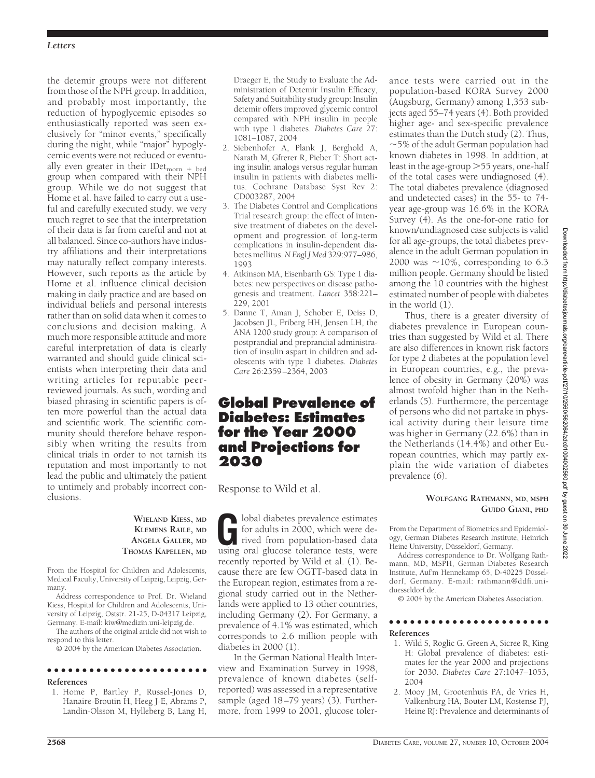the detemir groups were not different from those of the NPH group. In addition, and probably most importantly, the reduction of hypoglycemic episodes so enthusiastically reported was seen exclusively for "minor events," specifically during the night, while "major" hypoglycemic events were not reduced or eventually even greater in their  $\text{IDet}_{\text{mom } + \text{ bed}}$ group when compared with their NPH group. While we do not suggest that Home et al. have failed to carry out a useful and carefully executed study, we very much regret to see that the interpretation of their data is far from careful and not at all balanced. Since co-authors have industry affiliations and their interpretations may naturally reflect company interests. However, such reports as the article by Home et al. influence clinical decision making in daily practice and are based on individual beliefs and personal interests rather than on solid data when it comes to conclusions and decision making. A much more responsible attitude and more careful interpretation of data is clearly warranted and should guide clinical scientists when interpreting their data and writing articles for reputable peerreviewed journals. As such, wording and biased phrasing in scientific papers is often more powerful than the actual data and scientific work. The scientific community should therefore behave responsibly when writing the results from clinical trials in order to not tarnish its reputation and most importantly to not lead the public and ultimately the patient to untimely and probably incorrect conclusions.

#### **WIELAND KIESS, MD KLEMENS RAILE, MD ANGELA GALLER, MD THOMAS KAPELLEN, MD**

From the Hospital for Children and Adolescents, Medical Faculty, University of Leipzig, Leipzig, Germany.

Address correspondence to Prof. Dr. Wieland Kiess, Hospital for Children and Adolescents, University of Leipzig, Oststr. 21-25, D-04317 Leipzig, Germany. E-mail: kiw@medizin.uni-leipzig.de.

The authors of the original article did not wish to respond to this letter.

© 2004 by the American Diabetes Association.

#### ●●●●●●●●●●●●●●●●●●●●●●● **References**

1. Home P, Bartley P, Russel-Jones D, Hanaire-Broutin H, Heeg J-E, Abrams P, Landin-Olsson M, Hylleberg B, Lang H, Draeger E, the Study to Evaluate the Administration of Detemir Insulin Efficacy, Safety and Suitability study group: Insulin detemir offers improved glycemic control compared with NPH insulin in people with type 1 diabetes. *Diabetes Care* 27: 1081–1087, 2004

- 2. Siebenhofer A, Plank J, Berghold A, Narath M, Gfrerer R, Pieber T: Short acting insulin analogs versus regular human insulin in patients with diabetes mellitus. Cochrane Database Syst Rev 2: CD003287, 2004
- 3. The Diabetes Control and Complications Trial research group: the effect of intensive treatment of diabetes on the development and progression of long-term complications in insulin-dependent diabetes mellitus.*N Engl J Med* 329:977–986, 1993
- 4. Atkinson MA, Eisenbarth GS: Type 1 diabetes: new perspectives on disease pathogenesis and treatment. *Lancet* 358:221– 229, 2001
- 5. Danne T, Aman J, Schober E, Deiss D, Jacobsen JL, Friberg HH, Jensen LH, the ANA 1200 study group: A comparison of postprandial and preprandial administration of insulin aspart in children and adolescents with type 1 diabetes. *Diabetes Care* 26:2359–2364, 2003

### **Global Prevalence of Diabetes: Estimates for the Year 2000 and Projections for 2030**

Response to Wild et al.

**G**lobal diabetes prevalence estimates<br>for adults in 2000, which were de-<br>rived from population-based data<br>using oral glucose tolerance tests, were for adults in 2000, which were deusing oral glucose tolerance tests, were recently reported by Wild et al. (1). Because there are few OGTT-based data in the European region, estimates from a regional study carried out in the Netherlands were applied to 13 other countries, including Germany (2). For Germany, a prevalence of 4.1% was estimated, which corresponds to 2.6 million people with diabetes in 2000 (1).

In the German National Health Interview and Examination Survey in 1998, prevalence of known diabetes (selfreported) was assessed in a representative sample (aged 18–79 years) (3). Furthermore, from 1999 to 2001, glucose tolerance tests were carried out in the population-based KORA Survey 2000 (Augsburg, Germany) among 1,353 subjects aged 55–74 years (4). Both provided higher age- and sex-specific prevalence estimates than the Dutch study (2). Thus,  $~\sim$  5% of the adult German population had known diabetes in 1998. In addition, at least in the age-group  $>55$  years, one-half of the total cases were undiagnosed (4). The total diabetes prevalence (diagnosed and undetected cases) in the 55- to 74 year age-group was 16.6% in the KORA Survey  $(4)$ . As the one-for-one ratio for known/undiagnosed case subjects is valid for all age-groups, the total diabetes prevalence in the adult German population in 2000 was  $\sim$ 10%, corresponding to 6.3 million people. Germany should be listed among the 10 countries with the highest estimated number of people with diabetes in the world (1).

Thus, there is a greater diversity of diabetes prevalence in European countries than suggested by Wild et al. There are also differences in known risk factors for type 2 diabetes at the population level in European countries, e.g., the prevalence of obesity in Germany (20%) was almost twofold higher than in the Netherlands (5). Furthermore, the percentage of persons who did not partake in physical activity during their leisure time was higher in Germany (22.6%) than in the Netherlands (14.4%) and other European countries, which may partly explain the wide variation of diabetes prevalence (6).

### **WOLFGANG RATHMANN, MD, MSPH GUIDO GIANI, PHD**

From the Department of Biometrics and Epidemiology, German Diabetes Research Institute, Heinrich Heine University, Düsseldorf, Germany.

Address correspondence to Dr. Wolfgang Rathmann, MD, MSPH, German Diabetes Research Institute, Auf'm Hennekamp 65, D-40225 Düsseldorf, Germany. E-mail: rathmann@ddfi.uniduesseldorf.de.

© 2004 by the American Diabetes Association.

### ●●●●●●●●●●●●●●●●●●●●●●● **References**

- 1. Wild S, Roglic G, Green A, Sicree R, King H: Global prevalence of diabetes: estimates for the year 2000 and projections for 2030. *Diabetes Care* 27:1047–1053, 2004
- 2. Mooy JM, Grootenhuis PA, de Vries H, Valkenburg HA, Bouter LM, Kostense PJ, Heine RJ: Prevalence and determinants of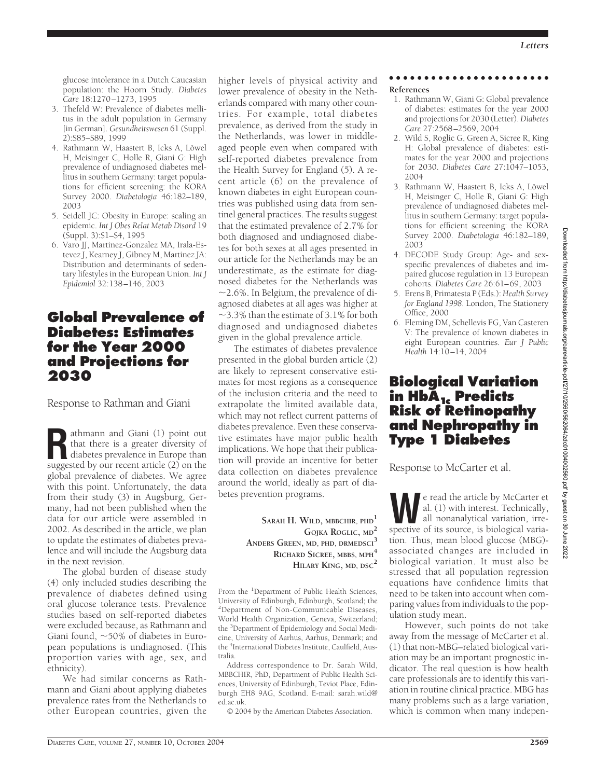glucose intolerance in a Dutch Caucasian population: the Hoorn Study. *Diabetes Care* 18:1270–1273, 1995

- 3. Thefeld W: Prevalence of diabetes mellitus in the adult population in Germany [in German]. *Gesundheitswesen* 61 (Suppl. 2):S85–S89, 1999
- 4. Rathmann W, Haastert B, Icks A, Löwel H, Meisinger C, Holle R, Giani G: High prevalence of undiagnosed diabetes mellitus in southern Germany: target populations for efficient screening: the KORA Survey 2000. *Diabetologia* 46:182–189, 2003
- 5. Seidell JC: Obesity in Europe: scaling an epidemic. *Int J Obes Relat Metab Disord* 19 (Suppl. 3):S1–S4, 1995
- 6. Varo JJ, Martinez-Gonzalez MA, Irala-Estevez J, Kearney J, Gibney M, Martinez JA: Distribution and determinants of sedentary lifestyles in the European Union. *Int J Epidemiol* 32:138–146, 2003

# **Global Prevalence of Diabetes: Estimates for the Year 2000 and Projections for 2030**

Response to Rathman and Giani

**Rathmann and Giani (1) point out**<br>that there is a greater diversity of<br>diabetes prevalence in Europe than<br>suggested by our recent article (2) on the that there is a greater diversity of suggested by our recent article (2) on the global prevalence of diabetes. We agree with this point. Unfortunately, the data from their study (3) in Augsburg, Germany, had not been published when the data for our article were assembled in 2002. As described in the article, we plan to update the estimates of diabetes prevalence and will include the Augsburg data in the next revision.

The global burden of disease study (4) only included studies describing the prevalence of diabetes defined using oral glucose tolerance tests. Prevalence studies based on self-reported diabetes were excluded because, as Rathmann and Giani found,  $\sim$  50% of diabetes in European populations is undiagnosed. (This proportion varies with age, sex, and ethnicity).

We had similar concerns as Rathmann and Giani about applying diabetes prevalence rates from the Netherlands to other European countries, given the higher levels of physical activity and lower prevalence of obesity in the Netherlands compared with many other countries. For example, total diabetes prevalence, as derived from the study in the Netherlands, was lower in middleaged people even when compared with self-reported diabetes prevalence from the Health Survey for England (5). A recent article (6) on the prevalence of known diabetes in eight European countries was published using data from sentinel general practices. The results suggest that the estimated prevalence of 2.7% for both diagnosed and undiagnosed diabetes for both sexes at all ages presented in our article for the Netherlands may be an underestimate, as the estimate for diagnosed diabetes for the Netherlands was  $\sim$ 2.6%. In Belgium, the prevalence of diagnosed diabetes at all ages was higher at  $\sim$ 3.3% than the estimate of 3.1% for both diagnosed and undiagnosed diabetes given in the global prevalence article.

The estimates of diabetes prevalence presented in the global burden article (2) are likely to represent conservative estimates for most regions as a consequence of the inclusion criteria and the need to extrapolate the limited available data, which may not reflect current patterns of diabetes prevalence. Even these conservative estimates have major public health implications. We hope that their publication will provide an incentive for better data collection on diabetes prevalence around the world, ideally as part of diabetes prevention programs.

> **SARAH H. WILD, MBBCHIR, PHD<sup>1</sup> GOJKA ROGLIC, MD<sup>2</sup> ANDERS GREEN, MD, PHD, DRMEDSCI<sup>3</sup> RICHARD SICREE, MBBS, MPH<sup>4</sup> HILARY KING, MD, DSC<sup>2</sup>**

From the <sup>1</sup>Department of Public Health Sciences, University of Edinburgh, Edinburgh, Scotland; the 2 Department of Non-Communicable Diseases, World Health Organization, Geneva, Switzerland; the <sup>3</sup> Department of Epidemiology and Social Medicine, University of Aarhus, Aarhus, Denmark; and the <sup>4</sup>International Diabetes Institute, Caulfield, Australia.

Address correspondence to Dr. Sarah Wild, MBBCHIR, PhD, Department of Public Health Sciences, University of Edinburgh, Teviot Place, Edinburgh EH8 9AG, Scotland. E-mail: sarah.wild@ ed.ac.uk.

© 2004 by the American Diabetes Association.

#### ●●●●●●●●●●●●●●●●●●●●●●● **References**

- 1. Rathmann W, Giani G: Global prevalence of diabetes: estimates for the year 2000 and projections for 2030 (Letter).*Diabetes Care* 27:2568–2569, 2004
- 2. Wild S, Roglic G, Green A, Sicree R, King H: Global prevalence of diabetes: estimates for the year 2000 and projections for 2030. *Diabetes Care* 27:1047–1053, 2004
- 3. Rathmann W, Haastert B, Icks A, Löwel H, Meisinger C, Holle R, Giani G: High prevalence of undiagnosed diabetes mellitus in southern Germany: target populations for efficient screening: the KORA Survey 2000. *Diabetologia* 46:182–189, 2003
- 4. DECODE Study Group: Age- and sexspecific prevalences of diabetes and impaired glucose regulation in 13 European cohorts. *Diabetes Care* 26:61–69, 2003
- 5. Erens B, Primatesta P (Eds.):*Health Survey for England 1998*. London, The Stationery Office, 2000
- 6. Fleming DM, Schellevis FG, Van Casteren V: The prevalence of known diabetes in eight European countries. *Eur J Public Health* 14:10–14, 2004

# **Biological Variation in HbA1c Predicts Risk of Retinopathy and Nephropathy in Type 1 Diabetes**

Response to McCarter et al.

**We** read the article by McCarter et al. (1) with interest. Technically, all nonanalytical variation, irreal. (1) with interest. Technically, spective of its source, is biological variation. Thus, mean blood glucose (MBG) associated changes are included in biological variation. It must also be stressed that all population regression equations have confidence limits that need to be taken into account when comparing values from individuals to the population study mean.

However, such points do not take away from the message of McCarter et al. (1) that non-MBG–related biological variation may be an important prognostic indicator. The real question is how health care professionals are to identify this variation in routine clinical practice. MBG has many problems such as a large variation, which is common when many indepen